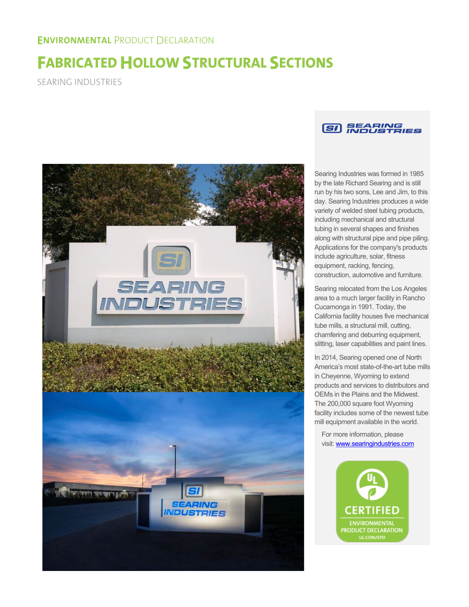# **FABRICATED HOLLOW STRUCTURAL SECTIONS**

SEARING INDUSTRIES





Searing Industries was formed in 1985 by the late Richard Searing and is still run by his two sons, Lee and Jim, to this day. Searing Industries produces a wide variety of welded steel tubing products, including mechanical and structural tubing in several shapes and finishes along with structural pipe and pipe piling. Applications for the company's products include agriculture, solar, fitness equipment, racking, fencing, construction, automotive and furniture.

Searing relocated from the Los Angeles area to a much larger facility in Rancho Cucamonga in 1991. Today, the California facility houses five mechanical tube mills, a structural mill, cutting, chamfering and deburring equipment, slitting, laser capabilities and paint lines.

In 2014, Searing opened one of North America's most state-of-the-art tube mills in Cheyenne, Wyoming to extend products and services to distributors and OEMs in the Plains and the Midwest. The 200,000 square foot Wyoming facility includes some of the newest tube mill equipment available in the world.

For more information, please visit: www.searingindustries.com

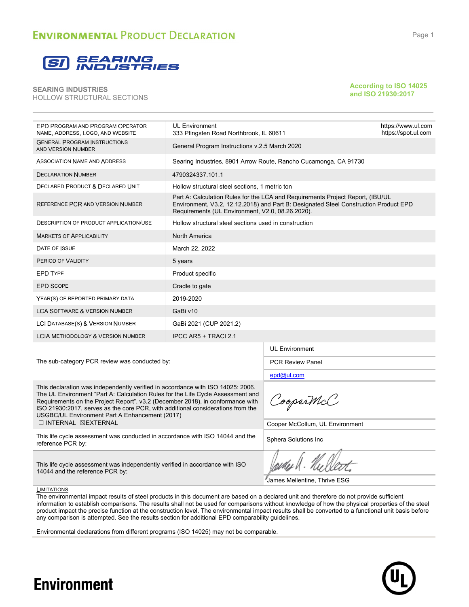

**According to ISO 14025 and ISO 21930:2017**

| EPD PROGRAM AND PROGRAM OPERATOR<br>NAME, ADDRESS, LOGO, AND WEBSITE                                                                                                                                                                                                                                                                                                                      | <b>UL Environment</b><br>333 Pfingsten Road Northbrook, IL 60611 |                                                                                                                                                                        | https://www.ul.com<br>https://spot.ul.com |  |  |
|-------------------------------------------------------------------------------------------------------------------------------------------------------------------------------------------------------------------------------------------------------------------------------------------------------------------------------------------------------------------------------------------|------------------------------------------------------------------|------------------------------------------------------------------------------------------------------------------------------------------------------------------------|-------------------------------------------|--|--|
| <b>GENERAL PROGRAM INSTRUCTIONS</b><br>AND VERSION NUMBER                                                                                                                                                                                                                                                                                                                                 | General Program Instructions v.2.5 March 2020                    |                                                                                                                                                                        |                                           |  |  |
| <b>ASSOCIATION NAME AND ADDRESS</b>                                                                                                                                                                                                                                                                                                                                                       |                                                                  | Searing Industries, 8901 Arrow Route, Rancho Cucamonga, CA 91730                                                                                                       |                                           |  |  |
| <b>DECLARATION NUMBER</b>                                                                                                                                                                                                                                                                                                                                                                 | 4790324337.101.1                                                 |                                                                                                                                                                        |                                           |  |  |
| <b>DECLARED PRODUCT &amp; DECLARED UNIT</b>                                                                                                                                                                                                                                                                                                                                               | Hollow structural steel sections, 1 metric ton                   |                                                                                                                                                                        |                                           |  |  |
| REFERENCE PCR AND VERSION NUMBER                                                                                                                                                                                                                                                                                                                                                          | Requirements (UL Environment, V2.0, 08.26.2020).                 | Part A: Calculation Rules for the LCA and Requirements Project Report, (IBU/UL<br>Environment, V3.2, 12.12.2018) and Part B: Designated Steel Construction Product EPD |                                           |  |  |
| <b>DESCRIPTION OF PRODUCT APPLICATION/USE</b>                                                                                                                                                                                                                                                                                                                                             | Hollow structural steel sections used in construction            |                                                                                                                                                                        |                                           |  |  |
| <b>MARKETS OF APPLICABILITY</b>                                                                                                                                                                                                                                                                                                                                                           | North America                                                    |                                                                                                                                                                        |                                           |  |  |
| DATE OF ISSUE                                                                                                                                                                                                                                                                                                                                                                             | March 22, 2022                                                   |                                                                                                                                                                        |                                           |  |  |
| PERIOD OF VALIDITY                                                                                                                                                                                                                                                                                                                                                                        |                                                                  |                                                                                                                                                                        |                                           |  |  |
| EPD TYPE                                                                                                                                                                                                                                                                                                                                                                                  | Product specific                                                 |                                                                                                                                                                        |                                           |  |  |
| <b>EPD SCOPE</b>                                                                                                                                                                                                                                                                                                                                                                          | Cradle to gate                                                   |                                                                                                                                                                        |                                           |  |  |
| YEAR(S) OF REPORTED PRIMARY DATA                                                                                                                                                                                                                                                                                                                                                          | 2019-2020                                                        |                                                                                                                                                                        |                                           |  |  |
| <b>LCA SOFTWARE &amp; VERSION NUMBER</b>                                                                                                                                                                                                                                                                                                                                                  | GaBi v10                                                         |                                                                                                                                                                        |                                           |  |  |
| LCI DATABASE(S) & VERSION NUMBER                                                                                                                                                                                                                                                                                                                                                          | GaBi 2021 (CUP 2021.2)                                           |                                                                                                                                                                        |                                           |  |  |
| <b>LCIA METHODOLOGY &amp; VERSION NUMBER</b>                                                                                                                                                                                                                                                                                                                                              | IPCC AR5 + TRACI 2.1                                             |                                                                                                                                                                        |                                           |  |  |
|                                                                                                                                                                                                                                                                                                                                                                                           |                                                                  | <b>UL Environment</b>                                                                                                                                                  |                                           |  |  |
| The sub-category PCR review was conducted by:                                                                                                                                                                                                                                                                                                                                             |                                                                  | <b>PCR Review Panel</b>                                                                                                                                                |                                           |  |  |
|                                                                                                                                                                                                                                                                                                                                                                                           |                                                                  | epd@ul.com                                                                                                                                                             |                                           |  |  |
| This declaration was independently verified in accordance with ISO 14025: 2006.<br>The UL Environment "Part A: Calculation Rules for the Life Cycle Assessment and<br>Requirements on the Project Report", v3.2 (December 2018), in conformance with<br>ISO 21930:2017, serves as the core PCR, with additional considerations from the<br>USGBC/UL Environment Part A Enhancement (2017) | CooperMcC                                                        |                                                                                                                                                                        |                                           |  |  |
| $\Box$ INTERNAL $\boxtimes$ EXTERNAL                                                                                                                                                                                                                                                                                                                                                      |                                                                  | Cooper McCollum, UL Environment                                                                                                                                        |                                           |  |  |
| This life cycle assessment was conducted in accordance with ISO 14044 and the<br>reference PCR by:                                                                                                                                                                                                                                                                                        | Sphera Solutions Inc                                             |                                                                                                                                                                        |                                           |  |  |
| This life cycle assessment was independently verified in accordance with ISO<br>14044 and the reference PCR by:                                                                                                                                                                                                                                                                           |                                                                  |                                                                                                                                                                        |                                           |  |  |
| I H I T A T O U C                                                                                                                                                                                                                                                                                                                                                                         | James Mellentine, Thrive ESG                                     |                                                                                                                                                                        |                                           |  |  |

**LIMITATIONS** 

**Environment** 

The environmental impact results of steel products in this document are based on a declared unit and therefore do not provide sufficient information to establish comparisons. The results shall not be used for comparisons without knowledge of how the physical properties of the steel product impact the precise function at the construction level. The environmental impact results shall be converted to a functional unit basis before any comparison is attempted. See the results section for additional EPD comparability guidelines.

Environmental declarations from different programs (ISO 14025) may not be comparable.

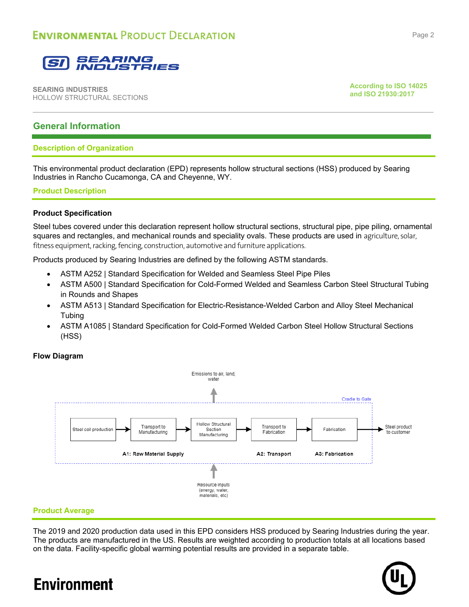

**According to ISO 14025 and ISO 21930:2017**

### **General Information**

### **Description of Organization**

This environmental product declaration (EPD) represents hollow structural sections (HSS) produced by Searing Industries in Rancho Cucamonga, CA and Cheyenne, WY.

### **Product Description**

### **Product Specification**

Steel tubes covered under this declaration represent hollow structural sections, structural pipe, pipe piling, ornamental squares and rectangles, and mechanical rounds and speciality ovals. These products are used in agriculture, solar, fitness equipment, racking, fencing, construction, automotive and furniture applications.

Products produced by Searing Industries are defined by the following ASTM standards.

- ASTM A252 | Standard Specification for Welded and Seamless Steel Pipe Piles
- ASTM A500 | Standard Specification for Cold-Formed Welded and Seamless Carbon Steel Structural Tubing in Rounds and Shapes
- ASTM A513 | Standard Specification for Electric-Resistance-Welded Carbon and Alloy Steel Mechanical **Tubing**
- ASTM A1085 | Standard Specification for Cold-Formed Welded Carbon Steel Hollow Structural Sections (HSS)

### **Flow Diagram**



### **Product Average**

The 2019 and 2020 production data used in this EPD considers HSS produced by Searing Industries during the year. The products are manufactured in the US. Results are weighted according to production totals at all locations based on the data. Facility-specific global warming potential results are provided in a separate table.

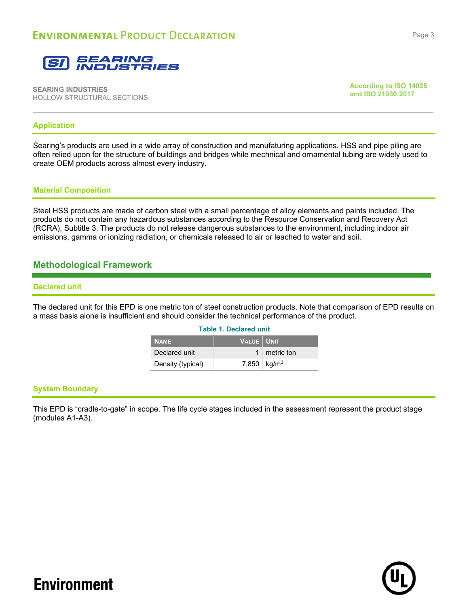

**According to ISO 14025 and ISO 21930:2017**

### **Application**

Searing's products are used in a wide array of construction and manufaturing applications. HSS and pipe piling are often relied upon for the structure of buildings and bridges while mechnical and ornamental tubing are widely used to create OEM products across almost every industry.

### **Material Composition**

Steel HSS products are made of carbon steel with a small percentage of alloy elements and paints included. The products do not contain any hazardous substances according to the Resource Conservation and Recovery Act (RCRA), Subtitle 3. The products do not release dangerous substances to the environment, including indoor air emissions, gamma or ionizing radiation, or chemicals released to air or leached to water and soil.

### **Methodological Framework**

### **Declared unit**

The declared unit for this EPD is one metric ton of steel construction products. Note that comparison of EPD results on a mass basis alone is insufficient and should consider the technical performance of the product.

| <b>Table 1. Declared unit</b>            |                           |              |  |  |  |  |  |  |
|------------------------------------------|---------------------------|--------------|--|--|--|--|--|--|
| <b>VALUE   UNIT</b><br>NAME <sup>1</sup> |                           |              |  |  |  |  |  |  |
| Declared unit                            |                           | 1 metric ton |  |  |  |  |  |  |
| Density (typical)                        | 7,850   kg/m <sup>3</sup> |              |  |  |  |  |  |  |

### **System Boundary**

This EPD is "cradle-to-gate" in scope. The life cycle stages included in the assessment represent the product stage (modules A1-A3).

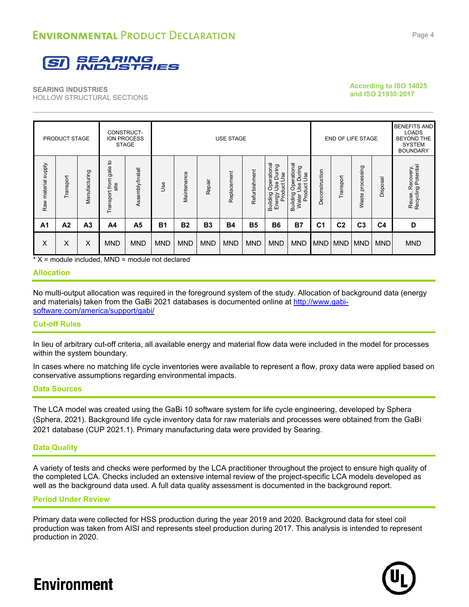

**According to ISO 14025 and ISO 21930:2017**

|                     | PRODUCT STAGE  |                | CONSTRUCT-                             | ION PROCESS<br><b>STAGE</b> | <b>USE STAGE</b> |             |            |             |               | <b>END OF LIFE STAGE</b>                                                           |                                                                     |                | <b>BENEFITS AND</b><br><b>LOADS</b><br><b>BEYOND THE</b><br><b>SYSTEM</b><br><b>BOUNDARY</b> |                     |                |                                                     |
|---------------------|----------------|----------------|----------------------------------------|-----------------------------|------------------|-------------|------------|-------------|---------------|------------------------------------------------------------------------------------|---------------------------------------------------------------------|----------------|----------------------------------------------------------------------------------------------|---------------------|----------------|-----------------------------------------------------|
| Raw material supply | Transport      | Manufacturing  | đ<br>gate<br>from<br>site<br>Transport | Assembly/Install            | <b>Jse</b>       | Maintenance | Repair     | Replacement | Refurbishment | Operational<br>Use During<br>Energy Use <sub>Loui</sub><br>Product Use<br>Building | Operational<br>During<br>Use<br>9se<br>Product<br>Building<br>Water | Deconstruction | ゼ<br>Transpo                                                                                 | processing<br>Waste | Disposal       | Recovery,<br>ng Potential<br>Reuse, Re<br>Recycling |
| A <sub>1</sub>      | A <sub>2</sub> | A <sub>3</sub> | A4                                     | A <sub>5</sub>              | <b>B1</b>        | <b>B2</b>   | <b>B3</b>  | <b>B4</b>   | <b>B5</b>     | <b>B6</b>                                                                          | <b>B7</b>                                                           | C <sub>1</sub> | C <sub>2</sub>                                                                               | C <sub>3</sub>      | C <sub>4</sub> | D                                                   |
| X                   | X              | X              | <b>MND</b>                             | <b>MND</b>                  | <b>MND</b>       | <b>MND</b>  | <b>MND</b> | <b>MND</b>  | <b>MND</b>    | <b>MND</b>                                                                         | <b>MND</b>                                                          | <b>MND</b>     | <b>MND</b>                                                                                   | <b>MND</b>          | <b>MND</b>     | <b>MND</b>                                          |

 $*$  X = module included, MND = module not declared

### **Allocation**

No multi-output allocation was required in the foreground system of the study. Allocation of background data (energy and materials) taken from the GaBi 2021 databases is documented online at http://www.gabisoftware.com/america/support/gabi/

### **Cut-off Rules**

In lieu of arbitrary cut-off criteria, all available energy and material flow data were included in the model for processes within the system boundary.

In cases where no matching life cycle inventories were available to represent a flow, proxy data were applied based on conservative assumptions regarding environmental impacts.

### **Data Sources**

The LCA model was created using the GaBi 10 software system for life cycle engineering, developed by Sphera (Sphera, 2021). Background life cycle inventory data for raw materials and processes were obtained from the GaBi 2021 database (CUP 2021.1). Primary manufacturing data were provided by Searing.

### **Data Quality**

A variety of tests and checks were performed by the LCA practitioner throughout the project to ensure high quality of the completed LCA. Checks included an extensive internal review of the project-specific LCA models developed as well as the background data used. A full data quality assessment is documented in the background report.

### **Period Under Review**

Primary data were collected for HSS production during the year 2019 and 2020. Background data for steel coil production was taken from AISI and represents steel production during 2017. This analysis is intended to represent production in 2020.

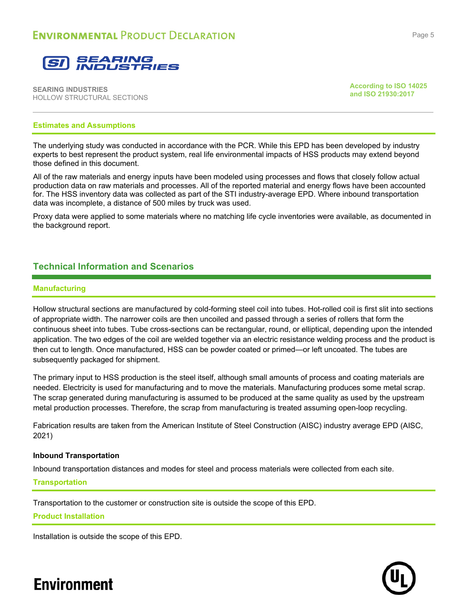

**According to ISO 14025 and ISO 21930:2017**

### **Estimates and Assumptions**

The underlying study was conducted in accordance with the PCR. While this EPD has been developed by industry experts to best represent the product system, real life environmental impacts of HSS products may extend beyond those defined in this document.

All of the raw materials and energy inputs have been modeled using processes and flows that closely follow actual production data on raw materials and processes. All of the reported material and energy flows have been accounted for. The HSS inventory data was collected as part of the STI industry-average EPD. Where inbound transportation data was incomplete, a distance of 500 miles by truck was used.

Proxy data were applied to some materials where no matching life cycle inventories were available, as documented in the background report.

### **Technical Information and Scenarios**

#### **Manufacturing**

Hollow structural sections are manufactured by cold-forming steel coil into tubes. Hot-rolled coil is first slit into sections of appropriate width. The narrower coils are then uncoiled and passed through a series of rollers that form the continuous sheet into tubes. Tube cross-sections can be rectangular, round, or elliptical, depending upon the intended application. The two edges of the coil are welded together via an electric resistance welding process and the product is then cut to length. Once manufactured, HSS can be powder coated or primed—or left uncoated. The tubes are subsequently packaged for shipment.

The primary input to HSS production is the steel itself, although small amounts of process and coating materials are needed. Electricity is used for manufacturing and to move the materials. Manufacturing produces some metal scrap. The scrap generated during manufacturing is assumed to be produced at the same quality as used by the upstream metal production processes. Therefore, the scrap from manufacturing is treated assuming open-loop recycling.

Fabrication results are taken from the American Institute of Steel Construction (AISC) industry average EPD (AISC, 2021)

#### **Inbound Transportation**

Inbound transportation distances and modes for steel and process materials were collected from each site.

#### **Transportation**

Transportation to the customer or construction site is outside the scope of this EPD.

### **Product Installation**

Installation is outside the scope of this EPD.

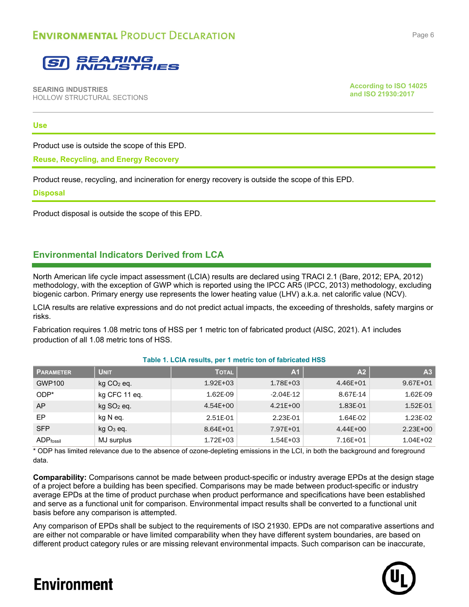

**According to ISO 14025 and ISO 21930:2017**

### **Use**

Product use is outside the scope of this EPD.

**Reuse, Recycling, and Energy Recovery**

Product reuse, recycling, and incineration for energy recovery is outside the scope of this EPD.

### **Disposal**

Product disposal is outside the scope of this EPD.

### **Environmental Indicators Derived from LCA**

North American life cycle impact assessment (LCIA) results are declared using TRACI 2.1 (Bare, 2012; EPA, 2012) methodology, with the exception of GWP which is reported using the IPCC AR5 (IPCC, 2013) methodology, excluding biogenic carbon. Primary energy use represents the lower heating value (LHV) a.k.a. net calorific value (NCV).

LCIA results are relative expressions and do not predict actual impacts, the exceeding of thresholds, safety margins or risks.

Fabrication requires 1.08 metric tons of HSS per 1 metric ton of fabricated product (AISC, 2021). A1 includes production of all 1.08 metric tons of HSS.

### **Table 1. LCIA results, per 1 metric ton of fabricated HSS**

| <b>PARAMETER</b>        | <b>UNIT</b>              | <b>TOTAL</b> | A <sub>1</sub> | A2           | A <sub>3</sub> |
|-------------------------|--------------------------|--------------|----------------|--------------|----------------|
| GWP100                  | $kg CO2$ eq.             | $1.92E + 03$ | $1.78E + 03$   | $4.46E + 01$ | $9.67E + 01$   |
| $ODP*$                  | kg CFC 11 eq.            | 1.62E-09     | $-2.04E-12$    | 8.67E-14     | 1.62E-09       |
| AP                      | $kg$ SO <sub>2</sub> eq. | $4.54E + 00$ | $4.21E + 00$   | 1.83E-01     | 1.52E-01       |
| EP                      | kg N eq.                 | 2.51E-01     | 2.23E-01       | 1.64E-02     | 1.23E-02       |
| <b>SFP</b>              | $kgO3$ eq.               | 8.64E+01     | 7.97E+01       | $4.44E+00$   | $2.23E + 00$   |
| $ADP$ <sub>fossil</sub> | MJ surplus               | $1.72E + 03$ | $1.54E + 03$   | 7.16E+01     | $1.04E + 02$   |

\* ODP has limited relevance due to the absence of ozone-depleting emissions in the LCI, in both the background and foreground data.

**Comparability:** Comparisons cannot be made between product-specific or industry average EPDs at the design stage of a project before a building has been specified. Comparisons may be made between product-specific or industry average EPDs at the time of product purchase when product performance and specifications have been established and serve as a functional unit for comparison. Environmental impact results shall be converted to a functional unit basis before any comparison is attempted.

Any comparison of EPDs shall be subject to the requirements of ISO 21930. EPDs are not comparative assertions and are either not comparable or have limited comparability when they have different system boundaries, are based on different product category rules or are missing relevant environmental impacts. Such comparison can be inaccurate,

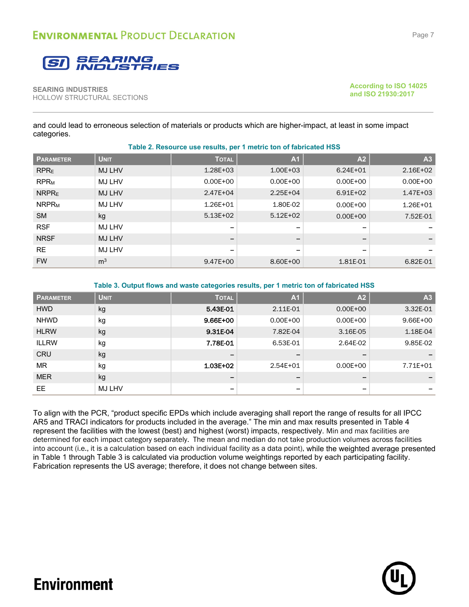

**According to ISO 14025 and ISO 21930:2017**

and could lead to erroneous selection of materials or products which are higher-impact, at least in some impact categories.

| <b>PARAMETER</b>        | <b>UNIT</b>    | <b>TOTAL</b>             | A <sub>1</sub>           | A2                       | A <sub>3</sub> |
|-------------------------|----------------|--------------------------|--------------------------|--------------------------|----------------|
| RPR <sub>E</sub>        | MJ LHV         | $1.28E + 03$             | $1.00E + 03$             | $6.24E + 01$             | $2.16E + 02$   |
| <b>RPR<sub>M</sub></b>  | <b>MJ LHV</b>  | $0.00E + 00$             | $0.00E + 00$             | $0.00E + 00$             | $0.00E + 00$   |
| NRPR <sub>E</sub>       | <b>MJ LHV</b>  | $2.47E + 04$             | $2.25E + 04$             | $6.91E + 02$             | $1.47E + 03$   |
| <b>NRPR<sub>M</sub></b> | MJ LHV         | $1.26E + 01$             | 1.80E-02                 | $0.00E + 00$             | $1.26E + 01$   |
| <b>SM</b>               | kg             | $5.13E + 02$             | $5.12E + 02$             | $0.00E + 00$             | 7.52E-01       |
| <b>RSF</b>              | MJ LHV         | $\overline{\phantom{0}}$ | $\overline{\phantom{0}}$ | $\overline{\phantom{0}}$ |                |
| <b>NRSF</b>             | MJ LHV         | $\overline{\phantom{m}}$ | $\overline{\phantom{0}}$ | -                        |                |
| <b>RE</b>               | <b>MJ LHV</b>  |                          | $\overline{\phantom{0}}$ | -                        |                |
| <b>FW</b>               | m <sup>3</sup> | $9.47E + 00$             | 8.60E+00                 | 1.81E-01                 | 6.82E-01       |

**Table 2. Resource use results, per 1 metric ton of fabricated HSS**

#### **Table 3. Output flows and waste categories results, per 1 metric ton of fabricated HSS**

| <b>PARAMETER</b> | <b>UNIT</b> | <b>TOTAL</b>             | A <sub>1</sub>               | A <sub>2</sub>           | A <sub>3</sub> |
|------------------|-------------|--------------------------|------------------------------|--------------------------|----------------|
| <b>HWD</b>       | kg          | 5.43E-01                 | 2.11E-01                     | $0.00E + 00$             | 3.32E-01       |
| <b>NHWD</b>      | kg          | 9.66E+00                 | $0.00E + 00$                 | $0.00E + 00$             | $9.66E + 00$   |
| <b>HLRW</b>      | kg          | 9.31E-04                 | 7.82E-04                     | 3.16E-05                 | 1.18E-04       |
| <b>ILLRW</b>     | kg          | 7.78E-01                 | 6.53E-01                     | 2.64E-02                 | 9.85E-02       |
| <b>CRU</b>       | kg          | $\overline{\phantom{0}}$ | $\overline{\phantom{m}}$     | $\overline{\phantom{m}}$ |                |
| <b>MR</b>        | kg          | $1.03E + 02$             | $2.54E + 01$                 | $0.00E + 00$             | 7.71E+01       |
| <b>MER</b>       | kg          |                          | $\qquad \qquad \blacksquare$ | $\overline{\phantom{m}}$ |                |
| <b>EE</b>        | MJ LHV      | $\overline{\phantom{0}}$ | -                            | -                        |                |

To align with the PCR, "product specific EPDs which include averaging shall report the range of results for all IPCC AR5 and TRACI indicators for products included in the average." The min and max results presented in Table 4 represent the facilities with the lowest (best) and highest (worst) impacts, respectively. Min and max facilities are determined for each impact category separately. The mean and median do not take production volumes across facilities into account (i.e., it is a calculation based on each individual facility as a data point), while the weighted average presented in Table 1 through Table 3 is calculated via production volume weightings reported by each participating facility. Fabrication represents the US average; therefore, it does not change between sites.

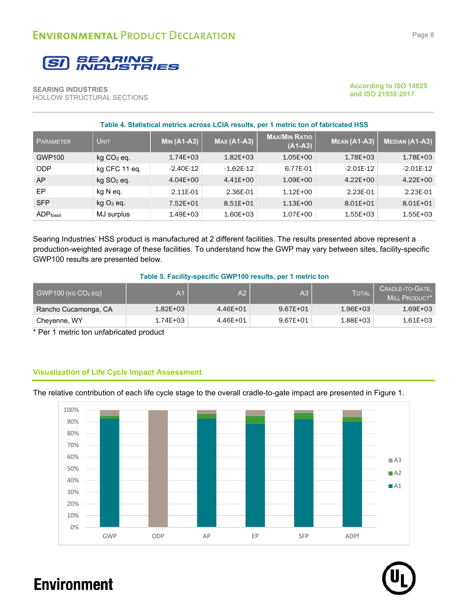

**According to ISO 14025 and ISO 21930:2017**

| Table 4. Statistical metrics across LCIA results, per 1 metric ton of fabricated HSS |                          |                    |                    |                                   |                     |                       |  |  |  |
|--------------------------------------------------------------------------------------|--------------------------|--------------------|--------------------|-----------------------------------|---------------------|-----------------------|--|--|--|
| <b>PARAMETER</b>                                                                     | <b>UNIT</b>              | <b>MIN (A1-A3)</b> | <b>MAX (A1-A3)</b> | <b>MAX/MIN RATIO</b><br>$(A1-A3)$ | <b>MEAN (A1-A3)</b> | <b>MEDIAN (A1-A3)</b> |  |  |  |
| <b>GWP100</b>                                                                        | $kg CO2$ eq.             | $1.74E + 03$       | $1.82E + 03$       | $1.05E + 00$                      | $1.78E + 03$        | $1.78E + 03$          |  |  |  |
| <b>ODP</b>                                                                           | kg CFC 11 eq.            | $-2.40E-12$        | $-1.62E-12$        | 6.77E-01                          | $-2.01E-12$         | $-2.01E-12$           |  |  |  |
| AP                                                                                   | $kg$ SO <sub>2</sub> eq. | $4.04E + 00$       | $4.41E + 00$       | $1.09E + 00$                      | $4.22E + 00$        | $4.22E + 00$          |  |  |  |
| EP                                                                                   | kg N eq.                 | 2.11E-01           | 2.36E-01           | $1.12E + 00$                      | 2.23E-01            | 2.23E-01              |  |  |  |
| <b>SFP</b>                                                                           | $kgO3$ eq.               | 7.52E+01           | $8.51E + 01$       | $1.13E + 00$                      | $8.01E + 01$        | $8.01E + 01$          |  |  |  |
| <b>ADP</b> fossil                                                                    | MJ surplus               | $1.49E + 03$       | $1.60E + 03$       | $1.07E + 00$                      | $1.55E + 03$        | $1.55E + 03$          |  |  |  |

Searing Industries' HSS product is manufactured at 2 different facilities. The results presented above represent a production-weighted average of these facilities. To understand how the GWP may vary between sites, facility-specific GWP100 results are presented below.

#### **Table 5. Facility-specific GWP100 results, per 1 metric ton**

| $GWP100$ (KG $CO2$ EQ) | A1.          | A2           | A3           | <b>TOTAL</b> | CRADLE-TO-GATE,<br>MILL PRODUCT <sup>*</sup> |
|------------------------|--------------|--------------|--------------|--------------|----------------------------------------------|
| Rancho Cucamonga, CA   | $1.82E + 03$ | 4.46E+01     | $9.67E + 01$ | $1.96E + 03$ | $1.69E + 03$                                 |
| Cheyenne, WY           | $1.74E + 03$ | $4.46E + 01$ | 9.67E+01     | $1.88E + 03$ | 1.61E+03                                     |

\* Per 1 metric ton unfabricated product

### **Visualization of Life Cycle Impact Assessment**



The relative contribution of each life cycle stage to the overall cradle-to-gate impact are presented in Figure 1.

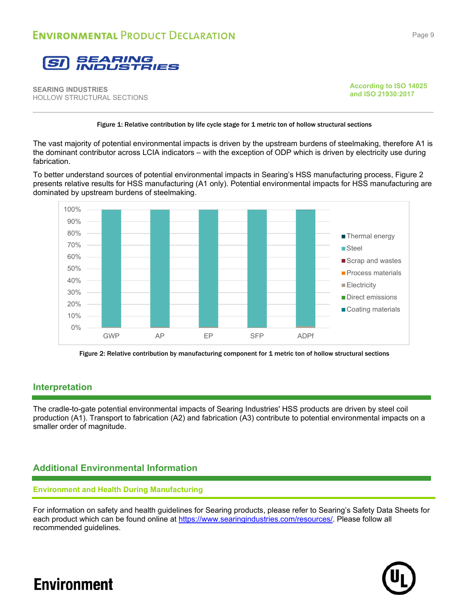

**According to ISO 14025 and ISO 21930:2017**

### Figure 1: Relative contribution by life cycle stage for 1 metric ton of hollow structural sections

The vast majority of potential environmental impacts is driven by the upstream burdens of steelmaking, therefore A1 is the dominant contributor across LCIA indicators – with the exception of ODP which is driven by electricity use during fabrication.

To better understand sources of potential environmental impacts in Searing's HSS manufacturing process, Figure 2 presents relative results for HSS manufacturing (A1 only). Potential environmental impacts for HSS manufacturing are dominated by upstream burdens of steelmaking.



Figure 2: Relative contribution by manufacturing component for 1 metric ton of hollow structural sections

### **Interpretation**

The cradle-to-gate potential environmental impacts of Searing Industries' HSS products are driven by steel coil production (A1). Transport to fabrication (A2) and fabrication (A3) contribute to potential environmental impacts on a smaller order of magnitude.

### **Additional Environmental Information**

### **Environment and Health During Manufacturing**

For information on safety and health guidelines for Searing products, please refer to Searing's Safety Data Sheets for each product which can be found online at https://www.searingindustries.com/resources/. Please follow all recommended guidelines.

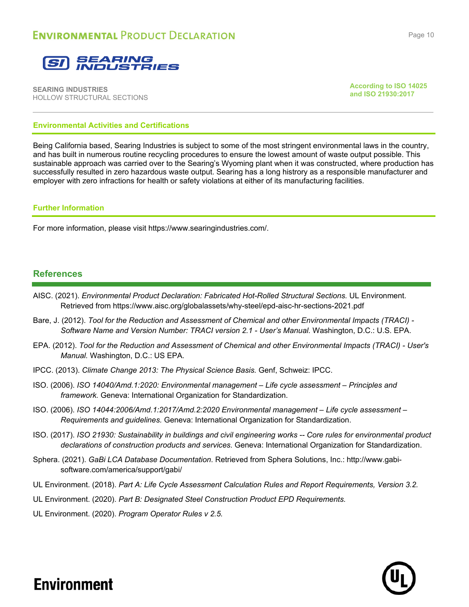

**According to ISO 14025 and ISO 21930:2017**

### **Environmental Activities and Certifications**

Being California based, Searing Industries is subject to some of the most stringent environmental laws in the country, and has built in numerous routine recycling procedures to ensure the lowest amount of waste output possible. This sustainable approach was carried over to the Searing's Wyoming plant when it was constructed, where production has successfully resulted in zero hazardous waste output. Searing has a long histrory as a responsible manufacturer and employer with zero infractions for health or safety violations at either of its manufacturing facilities.

### **Further Information**

For more information, please visit https://www.searingindustries.com/.

### **References**

- AISC. (2021). *Environmental Product Declaration: Fabricated Hot-Rolled Structural Sections.* UL Environment. Retrieved from https://www.aisc.org/globalassets/why-steel/epd-aisc-hr-sections-2021.pdf
- Bare, J. (2012). *Tool for the Reduction and Assessment of Chemical and other Environmental Impacts (TRACI) Software Name and Version Number: TRACI version 2.1 - User's Manual.* Washington, D.C.: U.S. EPA.
- EPA. (2012). *Tool for the Reduction and Assessment of Chemical and other Environmental Impacts (TRACI) User's Manual.* Washington, D.C.: US EPA.
- IPCC. (2013). *Climate Change 2013: The Physical Science Basis.* Genf, Schweiz: IPCC.
- ISO. (2006). *ISO 14040/Amd.1:2020: Environmental management Life cycle assessment Principles and framework.* Geneva: International Organization for Standardization.
- ISO. (2006). *ISO 14044:2006/Amd.1:2017/Amd.2:2020 Environmental management Life cycle assessment Requirements and guidelines.* Geneva: International Organization for Standardization.
- ISO. (2017). *ISO 21930: Sustainability in buildings and civil engineering works -- Core rules for environmental product declarations of construction products and services.* Geneva: International Organization for Standardization.
- Sphera. (2021). *GaBi LCA Database Documentation*. Retrieved from Sphera Solutions, Inc.: http://www.gabisoftware.com/america/support/gabi/
- UL Environment. (2018). *Part A: Life Cycle Assessment Calculation Rules and Report Requirements, Version 3.2.*
- UL Environment. (2020). *Part B: Designated Steel Construction Product EPD Requirements.*
- UL Environment. (2020). *Program Operator Rules v 2.5.*